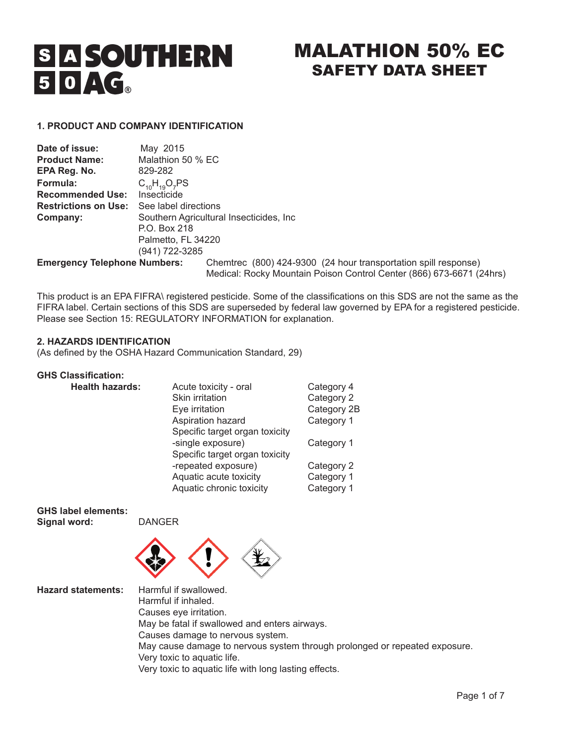# **S A SOUTHERN**  $50AC<sub>a</sub>$

# MALATHION 50% EC SAFETY DATA SHEET

# **1. PRODUCT AND COMPANY IDENTIFICATION**

| Date of issue:                      | May 2015                                 |                                                                                                                                         |  |
|-------------------------------------|------------------------------------------|-----------------------------------------------------------------------------------------------------------------------------------------|--|
| <b>Product Name:</b>                | Malathion 50 % EC                        |                                                                                                                                         |  |
| EPA Reg. No.                        | 829-282                                  |                                                                                                                                         |  |
| Formula:                            | $C_{10}H_{10}O_7PS$                      |                                                                                                                                         |  |
| <b>Recommended Use:</b>             | Insecticide                              |                                                                                                                                         |  |
| <b>Restrictions on Use:</b>         | See label directions                     |                                                                                                                                         |  |
| Company:                            | Southern Agricultural Insecticides, Inc. |                                                                                                                                         |  |
|                                     | P.O. Box 218                             |                                                                                                                                         |  |
|                                     | Palmetto, FL 34220                       |                                                                                                                                         |  |
|                                     | (941) 722-3285                           |                                                                                                                                         |  |
| <b>Emergency Telephone Numbers:</b> |                                          | Chemirec (800) 424-9300 (24 hour transportation spill response)<br>Medical: Rocky Mountain Poison Control Center (866) 673-6671 (24hrs) |  |

This product is an EPA FIFRA\ registered pesticide. Some of the classifications on this SDS are not the same as the FIFRA label. Certain sections of this SDS are superseded by federal law governed by EPA for a registered pesticide. Please see Section 15: REGULATORY INFORMATION for explanation.

## **2. HAZARDS IDENTIFICATION**

(As defined by the OSHA Hazard Communication Standard, 29)

# **GHS Classification:**

| <b>Health hazards:</b> | Acute toxicity - oral          | Category 4  |
|------------------------|--------------------------------|-------------|
|                        | Skin irritation                | Category 2  |
|                        | Eye irritation                 | Category 2B |
|                        | Aspiration hazard              | Category 1  |
|                        | Specific target organ toxicity |             |
|                        | -single exposure)              | Category 1  |
|                        | Specific target organ toxicity |             |
|                        | -repeated exposure)            | Category 2  |
|                        | Aquatic acute toxicity         | Category 1  |
|                        | Aquatic chronic toxicity       | Category 1  |

**GHS label elements: Signal word:** DANGER



**Hazard statements:** Harmful if swallowed. Harmful if inhaled. Causes eye irritation. May be fatal if swallowed and enters airways. Causes damage to nervous system. May cause damage to nervous system through prolonged or repeated exposure. Very toxic to aquatic life. Very toxic to aquatic life with long lasting effects.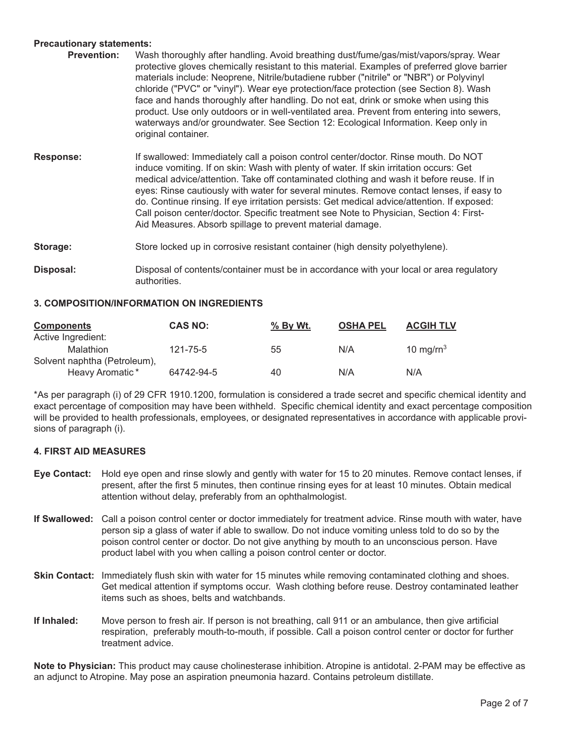# **Precautionary statements:**

- **Prevention:** Wash thoroughly after handling. Avoid breathing dust/fume/gas/mist/vapors/spray. Wear protective gloves chemically resistant to this material. Examples of preferred glove barrier materials include: Neoprene, Nitrile/butadiene rubber ("nitrile" or "NBR") or Polyvinyl chloride ("PVC" or "vinyl"). Wear eye protection/face protection (see Section 8). Wash face and hands thoroughly after handling. Do not eat, drink or smoke when using this product. Use only outdoors or in well-ventilated area. Prevent from entering into sewers, waterways and/or groundwater. See Section 12: Ecological Information. Keep only in original container.
- **Response:** If swallowed: Immediately call a poison control center/doctor. Rinse mouth. Do NOT induce vomiting. If on skin: Wash with plenty of water. If skin irritation occurs: Get medical advice/attention. Take off contaminated clothing and wash it before reuse. If in eyes: Rinse cautiously with water for several minutes. Remove contact lenses, if easy to do. Continue rinsing. If eye irritation persists: Get medical advice/attention. If exposed: Call poison center/doctor. Specific treatment see Note to Physician, Section 4: First-Aid Measures. Absorb spillage to prevent material damage.
- **Storage:** Store locked up in corrosive resistant container (high density polyethylene).
- **Disposal:** Disposal of contents/container must be in accordance with your local or area regulatory authorities.

#### **3. COMPOSITION/INFORMATION ON INGREDIENTS**

| <b>Components</b> |                              | <b>CAS NO:</b> | <u>% By Wt.</u> | <b>OSHA PEL</b> | <b>ACGIH TLV</b> |
|-------------------|------------------------------|----------------|-----------------|-----------------|------------------|
|                   | Active Ingredient:           |                |                 |                 |                  |
|                   | Malathion                    | 121-75-5       | 55              | N/A             | 10 mg/ $rn^3$    |
|                   | Solvent naphtha (Petroleum), |                |                 |                 |                  |
|                   | Heavy Aromatic*              | 64742-94-5     | 40              | N/A             | N/A              |

\*As per paragraph (i) of 29 CFR 1910.1200, formulation is considered a trade secret and specific chemical identity and exact percentage of composition may have been withheld. Specific chemical identity and exact percentage composition will be provided to health professionals, employees, or designated representatives in accordance with applicable provisions of paragraph (i).

### **4. FIRST AID MEASURES**

- **Eye Contact:** Hold eye open and rinse slowly and gently with water for 15 to 20 minutes. Remove contact lenses, if present, after the first 5 minutes, then continue rinsing eyes for at least 10 minutes. Obtain medical attention without delay, preferably from an ophthalmologist.
- **If Swallowed:** Call a poison control center or doctor immediately for treatment advice. Rinse mouth with water, have person sip a glass of water if able to swallow. Do not induce vomiting unless told to do so by the poison control center or doctor. Do not give anything by mouth to an unconscious person. Have product label with you when calling a poison control center or doctor.
- **Skin Contact:** Immediately flush skin with water for 15 minutes while removing contaminated clothing and shoes. Get medical attention if symptoms occur. Wash clothing before reuse. Destroy contaminated leather items such as shoes, belts and watchbands.
- **If Inhaled:** Move person to fresh air. If person is not breathing, call 911 or an ambulance, then give artificial respiration, preferably mouth-to-mouth, if possible. Call a poison control center or doctor for further treatment advice.

**Note to Physician:** This product may cause cholinesterase inhibition. Atropine is antidotal. 2-PAM may be effective as an adjunct to Atropine. May pose an aspiration pneumonia hazard. Contains petroleum distillate.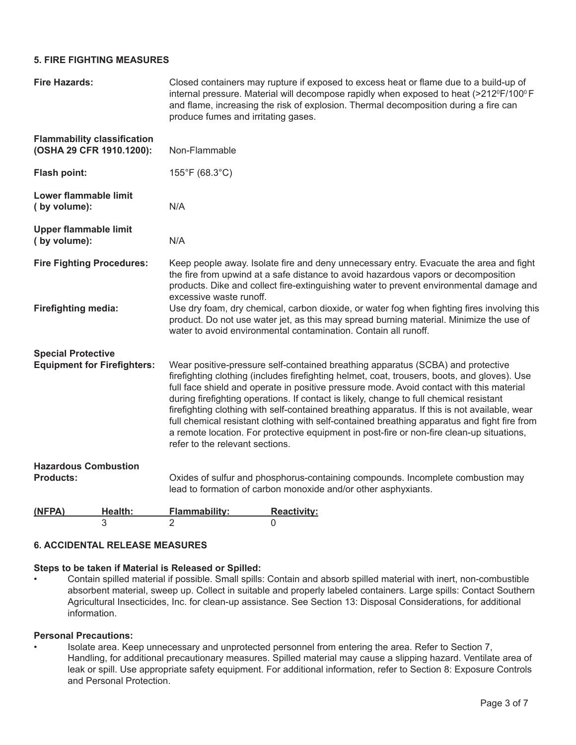# **5. FIRE FIGHTING MEASURES**

| <b>Fire Hazards:</b>                                            | Closed containers may rupture if exposed to excess heat or flame due to a build-up of<br>internal pressure. Material will decompose rapidly when exposed to heat (>212ºF/100º F<br>and flame, increasing the risk of explosion. Thermal decomposition during a fire can<br>produce fumes and irritating gases.                                                                                                                                                                                                                                                                                                                                                                                          |
|-----------------------------------------------------------------|---------------------------------------------------------------------------------------------------------------------------------------------------------------------------------------------------------------------------------------------------------------------------------------------------------------------------------------------------------------------------------------------------------------------------------------------------------------------------------------------------------------------------------------------------------------------------------------------------------------------------------------------------------------------------------------------------------|
| <b>Flammability classification</b><br>(OSHA 29 CFR 1910.1200):  | Non-Flammable                                                                                                                                                                                                                                                                                                                                                                                                                                                                                                                                                                                                                                                                                           |
| Flash point:                                                    | 155°F (68.3°C)                                                                                                                                                                                                                                                                                                                                                                                                                                                                                                                                                                                                                                                                                          |
| Lower flammable limit<br>(by volume):                           | N/A                                                                                                                                                                                                                                                                                                                                                                                                                                                                                                                                                                                                                                                                                                     |
| <b>Upper flammable limit</b><br>(by volume):                    | N/A                                                                                                                                                                                                                                                                                                                                                                                                                                                                                                                                                                                                                                                                                                     |
| <b>Fire Fighting Procedures:</b>                                | Keep people away. Isolate fire and deny unnecessary entry. Evacuate the area and fight<br>the fire from upwind at a safe distance to avoid hazardous vapors or decomposition<br>products. Dike and collect fire-extinguishing water to prevent environmental damage and<br>excessive waste runoff.                                                                                                                                                                                                                                                                                                                                                                                                      |
| <b>Firefighting media:</b>                                      | Use dry foam, dry chemical, carbon dioxide, or water fog when fighting fires involving this<br>product. Do not use water jet, as this may spread burning material. Minimize the use of<br>water to avoid environmental contamination. Contain all runoff.                                                                                                                                                                                                                                                                                                                                                                                                                                               |
| <b>Special Protective</b><br><b>Equipment for Firefighters:</b> | Wear positive-pressure self-contained breathing apparatus (SCBA) and protective<br>firefighting clothing (includes firefighting helmet, coat, trousers, boots, and gloves). Use<br>full face shield and operate in positive pressure mode. Avoid contact with this material<br>during firefighting operations. If contact is likely, change to full chemical resistant<br>firefighting clothing with self-contained breathing apparatus. If this is not available, wear<br>full chemical resistant clothing with self-contained breathing apparatus and fight fire from<br>a remote location. For protective equipment in post-fire or non-fire clean-up situations,<br>refer to the relevant sections. |
| <b>Hazardous Combustion</b><br><b>Products:</b>                 | Oxides of sulfur and phosphorus-containing compounds. Incomplete combustion may<br>lead to formation of carbon monoxide and/or other asphyxiants.                                                                                                                                                                                                                                                                                                                                                                                                                                                                                                                                                       |
| Health:<br>(NFPA)<br>3                                          | Flammability:<br><b>Reactivity:</b><br>$\overline{2}$<br>$\Omega$                                                                                                                                                                                                                                                                                                                                                                                                                                                                                                                                                                                                                                       |

# **6. ACCIDENTAL RELEASE MEASURES**

## **Steps to be taken if Material is Released or Spilled:**

• Contain spilled material if possible. Small spills: Contain and absorb spilled material with inert, non-combustible absorbent material, sweep up. Collect in suitable and properly labeled containers. Large spills: Contact Southern Agricultural Insecticides, Inc. for clean-up assistance. See Section 13: Disposal Considerations, for additional information.

#### **Personal Precautions:**

• Isolate area. Keep unnecessary and unprotected personnel from entering the area. Refer to Section 7, Handling, for additional precautionary measures. Spilled material may cause a slipping hazard. Ventilate area of leak or spill. Use appropriate safety equipment. For additional information, refer to Section 8: Exposure Controls and Personal Protection.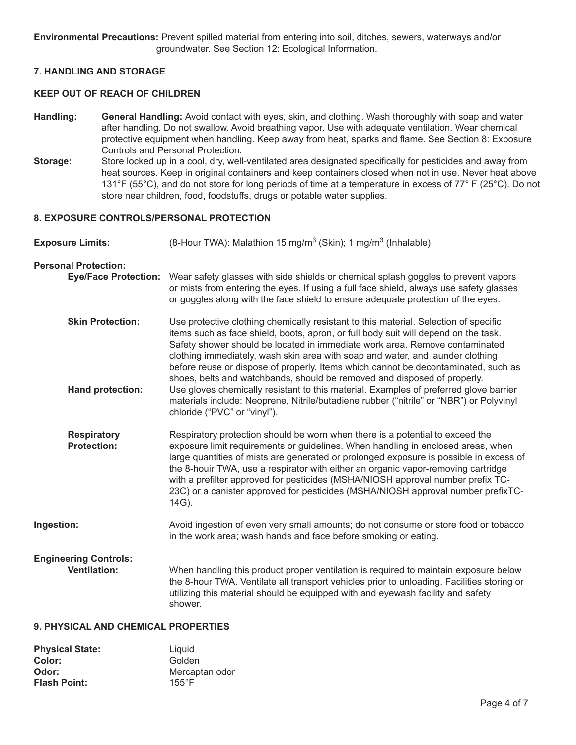**Environmental Precautions:** Prevent spilled material from entering into soil, ditches, sewers, waterways and/or groundwater. See Section 12: Ecological Information.

#### **7. HANDLING AND STORAGE**

## **KEEP OUT OF REACH OF CHILDREN**

- **Handling: General Handling:** Avoid contact with eyes, skin, and clothing. Wash thoroughly with soap and water after handling. Do not swallow. Avoid breathing vapor. Use with adequate ventilation. Wear chemical protective equipment when handling. Keep away from heat, sparks and flame. See Section 8: Exposure Controls and Personal Protection.
- **Storage:** Store locked up in a cool, dry, well-ventilated area designated specifically for pesticides and away from heat sources. Keep in original containers and keep containers closed when not in use. Never heat above 131°F (55°C), and do not store for long periods of time at a temperature in excess of 77° F (25°C). Do not store near children, food, foodstuffs, drugs or potable water supplies.

#### **8. EXPOSURE CONTROLS/PERSONAL PROTECTION**

- Exposure Limits:  $(8\text{-}\text{Hour TWA})$ : Malathion 15 mg/m<sup>3</sup> (Skin); 1 mg/m<sup>3</sup> (Inhalable)
- **Personal Protection: Eye/Face Protection:** Wear safety glasses with side shields or chemical splash goggles to prevent vapors or mists from entering the eyes. If using a full face shield, always use safety glasses or goggles along with the face shield to ensure adequate protection of the eyes. **Skin Protection:** Use protective clothing chemically resistant to this material. Selection of specific items such as face shield, boots, apron, or full body suit will depend on the task. Safety shower should be located in immediate work area. Remove contaminated clothing immediately, wash skin area with soap and water, and launder clothing before reuse or dispose of properly. Items which cannot be decontaminated, such as shoes, belts and watchbands, should be removed and disposed of properly. **Hand protection:** Use gloves chemically resistant to this material. Examples of preferred glove barrier materials include: Neoprene, Nitrile/butadiene rubber ("nitrile" or "NBR") or Polyvinyl chloride ("PVC" or "vinyl"). **Respiratory** Respiratory protection should be worn when there is a potential to exceed the **Protection:** exposure limit requirements or guidelines. When handling in enclosed areas, v exposure limit requirements or guidelines. When handling in enclosed areas, when large quantities of mists are generated or prolonged exposure is possible in excess of the 8-houir TWA, use a respirator with either an organic vapor-removing cartridge with a prefilter approved for pesticides (MSHA/NIOSH approval number prefix TC-23C) or a canister approved for pesticides (MSHA/NIOSH approval number prefixTC-14G). **Ingestion:** Avoid ingestion of even very small amounts; do not consume or store food or tobacco in the work area; wash hands and face before smoking or eating. **Engineering Controls:**  When handling this product proper ventilation is required to maintain exposure below the 8-hour TWA. Ventilate all transport vehicles prior to unloading. Facilities storing or utilizing this material should be equipped with and eyewash facility and safety shower.

# **9. PHYSICAL AND CHEMICAL PROPERTIES**

| <b>Physical State:</b> | Liguid          |
|------------------------|-----------------|
| Color:                 | Golden          |
| Odor:                  | Mercaptan odor  |
| <b>Flash Point:</b>    | $155^{\circ}$ F |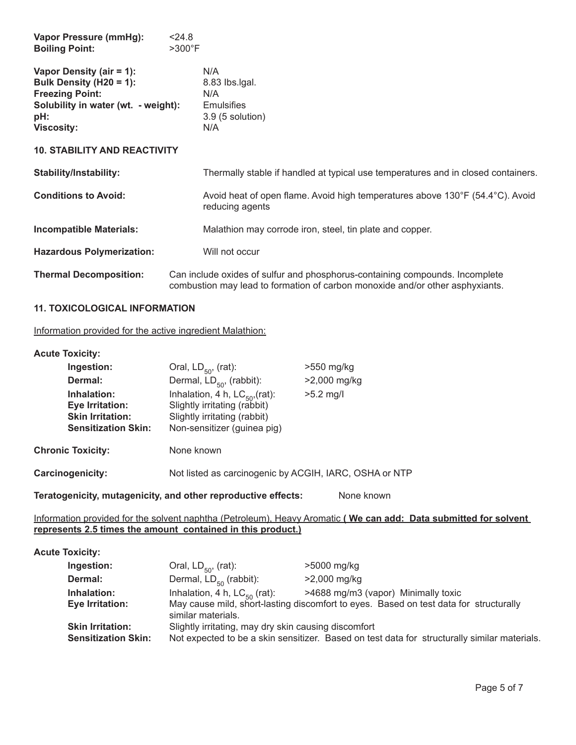| Vapor Pressure (mmHg):<br><b>Boiling Point:</b>                                                                                                  | < 24.8<br>>300°F                                                                                                                                              |
|--------------------------------------------------------------------------------------------------------------------------------------------------|---------------------------------------------------------------------------------------------------------------------------------------------------------------|
| Vapor Density (air = 1):<br>Bulk Density (H20 = 1):<br><b>Freezing Point:</b><br>Solubility in water (wt. - weight):<br>pH:<br><b>Viscosity:</b> | N/A<br>8.83 lbs.lgal.<br>N/A<br><b>Emulsifies</b><br>$3.9(5$ solution)<br>N/A                                                                                 |
| <b>10. STABILITY AND REACTIVITY</b>                                                                                                              |                                                                                                                                                               |
| <b>Stability/Instability:</b>                                                                                                                    | Thermally stable if handled at typical use temperatures and in closed containers.                                                                             |
| <b>Conditions to Avoid:</b>                                                                                                                      | Avoid heat of open flame. Avoid high temperatures above 130°F (54.4°C). Avoid<br>reducing agents                                                              |
| <b>Incompatible Materials:</b>                                                                                                                   | Malathion may corrode iron, steel, tin plate and copper.                                                                                                      |
| <b>Hazardous Polymerization:</b>                                                                                                                 | Will not occur                                                                                                                                                |
| <b>Thermal Decomposition:</b>                                                                                                                    | Can include oxides of sulfur and phosphorus-containing compounds. Incomplete<br>combustion may lead to formation of carbon monoxide and/or other asphyxiants. |

#### **11. TOXICOLOGICAL INFORMATION**

Information provided for the active ingredient Malathion:

## **Acute Toxicity:**

|                  | Ingestion:                                                                              | Oral, $LD_{50}$ , (rat):                                                                                                           | >550 mg/kg     |
|------------------|-----------------------------------------------------------------------------------------|------------------------------------------------------------------------------------------------------------------------------------|----------------|
|                  | Dermal:                                                                                 | Dermal, $LD_{50}$ , (rabbit):                                                                                                      | $>2,000$ mg/kg |
|                  | Inhalation:<br>Eye Irritation:<br><b>Skin Irritation:</b><br><b>Sensitization Skin:</b> | Inhalation, 4 h, $LC_{50}$ , (rat):<br>Slightly irritating (rabbit)<br>Slightly irritating (rabbit)<br>Non-sensitizer (guinea pig) | $>5.2$ mg/l    |
|                  | <b>Chronic Toxicity:</b>                                                                | None known                                                                                                                         |                |
| Carcinogenicity: |                                                                                         | Not listed as carcinogenic by ACGIH, IARC, OSHA or NTP                                                                             |                |
|                  |                                                                                         |                                                                                                                                    |                |

**Teratogenicity, mutagenicity, and other reproductive effects:** None known

# Information provided for the solvent naphtha (Petroleum), Heavy Aromatic **( We can add: Data submitted for solvent represents 2.5 times the amount contained in this product.)**

| <b>Acute Toxicity:</b>                                |                                                         |                                                                                                                              |
|-------------------------------------------------------|---------------------------------------------------------|------------------------------------------------------------------------------------------------------------------------------|
| Ingestion:                                            | Oral, $LD_{50}$ , (rat):                                | >5000 mg/kg                                                                                                                  |
| Dermal:                                               | Dermal, $LD_{50}$ (rabbit):                             | $>2,000$ mg/kg                                                                                                               |
| Inhalation:<br>Eye Irritation:                        | Inhalation, 4 h, $LC_{50}$ (rat):<br>similar materials. | >4688 mg/m3 (vapor) Minimally toxic<br>May cause mild, short-lasting discomfort to eyes. Based on test data for structurally |
| <b>Skin Irritation:</b><br><b>Sensitization Skin:</b> | Slightly irritating, may dry skin causing discomfort    | Not expected to be a skin sensitizer. Based on test data for structurally similar materials.                                 |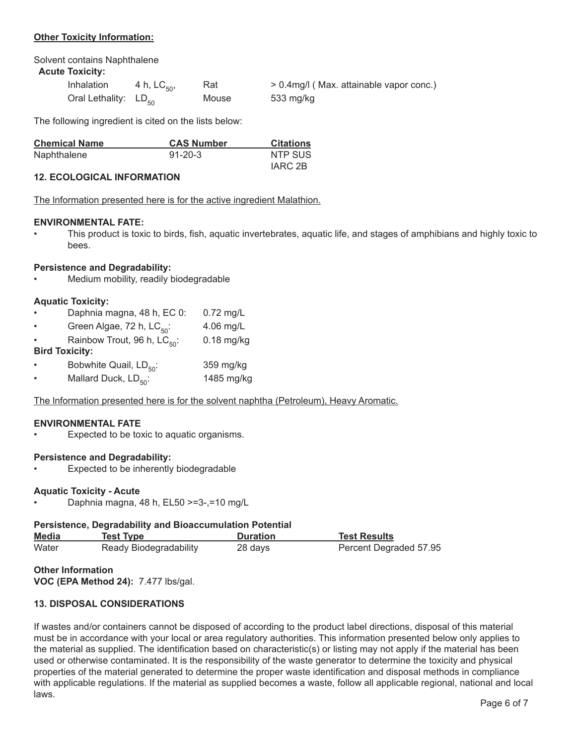# **Other Toxicity Information:**

Solvent contains Naphthalene

# **Acute Toxicity:**

| Inhalation                | 4 h, $LC_{50}$ , | Rat   | > 0.4mg/l (Max. attainable vapor conc.) |
|---------------------------|------------------|-------|-----------------------------------------|
| Oral Lethality: $LD_{50}$ |                  | Mouse | 533 mg/kg                               |

The following ingredient is cited on the lists below:

| <b>Chemical Name</b> | <b>CAS Number</b> | <b>Citations</b> |
|----------------------|-------------------|------------------|
| Naphthalene          | $91 - 20 - 3$     | NTP SUS          |
|                      |                   | IARC 2B          |

# **12. ECOLOGICAL INFORMATION**

The lnformation presented here is for the active ingredient Malathion.

# **ENVIRONMENTAL FATE:**

• This product is toxic to birds, fish, aquatic invertebrates, aquatic life, and stages of amphibians and highly toxic to bees.

# **Persistence and Degradability:**

• Medium mobility, readily biodegradable

# **Aquatic Toxicity:**

- Daphnia magna, 48 h, EC 0: 0.72 mg/L
- Green Algae, 72 h,  $LC_{50}$ : 4.06 mg/L
- Rainbow Trout, 96 h,  $LC_{50}$ : 0.18 mg/kg

# **Bird Toxicity:**

- Bobwhite Quail,  $LD_{50}$ : 359 mg/kg<br>Mallard Duck,  $LD_{50}$ : 1485 mg/kg
- Mallard Duck,  $LD_{\text{eq}}$ :

The lnformation presented here is for the solvent naphtha (Petroleum), Heavy Aromatic.

# **ENVIRONMENTAL FATE**

Expected to be toxic to aquatic organisms.

# **Persistence and Degradability:**

Expected to be inherently biodegradable

#### **Aquatic Toxicity - Acute**

• Daphnia magna, 48 h, EL50 >=3-,=10 mg/L

# **Persistence, Degradability and Bioaccumulation Potential**

| <b>Media</b> | Test Tvpe              | <b>Duration</b> | <b>Test Results</b>    |
|--------------|------------------------|-----------------|------------------------|
| Water        | Ready Biodegradability | 28 days         | Percent Degraded 57.95 |

**Other Information**

**VOC (EPA Method 24):** 7.477 lbs/gal.

# **13. DISPOSAL CONSIDERATIONS**

If wastes and/or containers cannot be disposed of according to the product label directions, disposal of this material must be in accordance with your local or area regulatory authorities. This information presented below only applies to the material as supplied. The identification based on characteristic(s) or listing may not apply if the material has been used or otherwise contaminated. It is the responsibility of the waste generator to determine the toxicity and physical properties of the material generated to determine the proper waste identification and disposal methods in compliance with applicable regulations. If the material as supplied becomes a waste, follow all applicable regional, national and local laws.